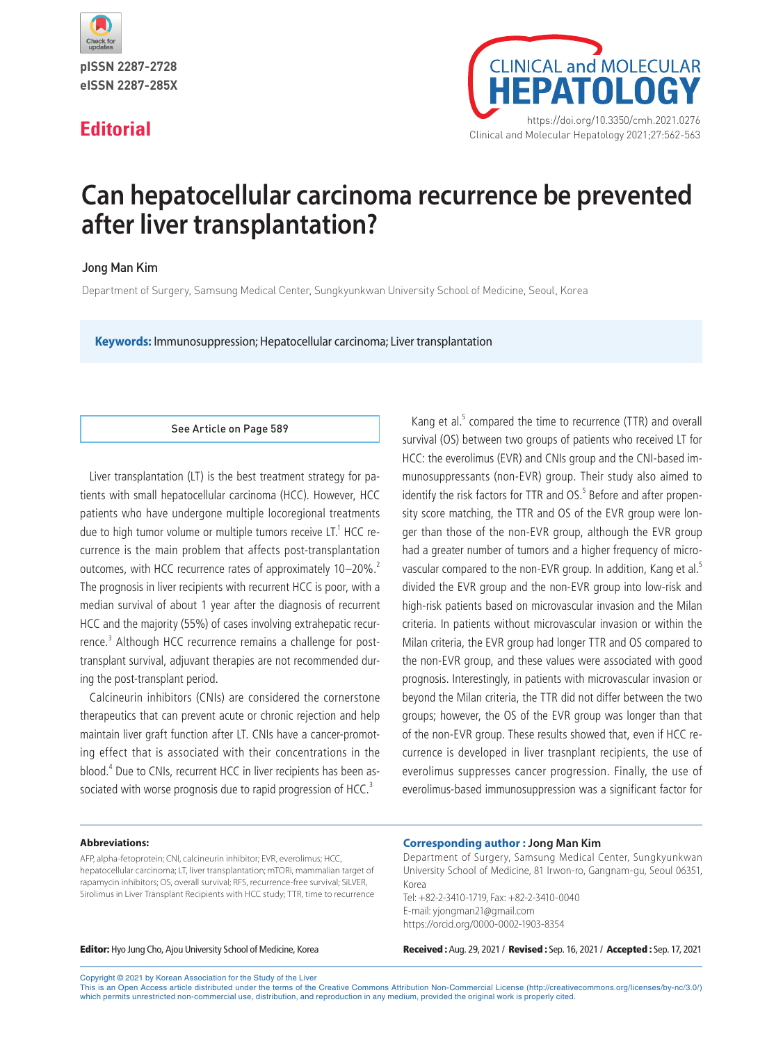

pISSN 2287-2728 eISSN 2287-285X



# **Can hepatocellular carcinoma recurrence be prevented after liver transplantation?**

# Jong Man Kim

Department of Surgery, Samsung Medical Center, Sungkyunkwan University School of Medicine, Seoul, Korea

**Keywords:** Immunosuppression; Hepatocellular carcinoma; Liver transplantation

### See Article on Page 589

Liver transplantation (LT) is the best treatment strategy for patients with small hepatocellular carcinoma (HCC). However, HCC patients who have undergone multiple locoregional treatments due to high tumor volume or multiple tumors receive LT. $^1$  HCC recurrence is the main problem that affects post-transplantation outcomes, with HCC recurrence rates of approximately 10–20%.<sup>2</sup> The prognosis in liver recipients with recurrent HCC is poor, with a median survival of about 1 year after the diagnosis of recurrent HCC and the majority (55%) of cases involving extrahepatic recurrence.<sup>3</sup> Although HCC recurrence remains a challenge for posttransplant survival, adjuvant therapies are not recommended during the post-transplant period.

Calcineurin inhibitors (CNIs) are considered the cornerstone therapeutics that can prevent acute or chronic rejection and help maintain liver graft function after LT. CNIs have a cancer-promoting effect that is associated with their concentrations in the blood.4 Due to CNIs, recurrent HCC in liver recipients has been associated with worse prognosis due to rapid progression of HCC.<sup>3</sup>

Kang et al.<sup>5</sup> compared the time to recurrence (TTR) and overall survival (OS) between two groups of patients who received LT for HCC: the everolimus (EVR) and CNIs group and the CNI-based immunosuppressants (non-EVR) group. Their study also aimed to identify the risk factors for TTR and OS.<sup>5</sup> Before and after propensity score matching, the TTR and OS of the EVR group were longer than those of the non-EVR group, although the EVR group had a greater number of tumors and a higher frequency of microvascular compared to the non-EVR group. In addition, Kang et al.<sup>5</sup> divided the EVR group and the non-EVR group into low-risk and high-risk patients based on microvascular invasion and the Milan criteria. In patients without microvascular invasion or within the Milan criteria, the EVR group had longer TTR and OS compared to the non-EVR group, and these values were associated with good prognosis. Interestingly, in patients with microvascular invasion or beyond the Milan criteria, the TTR did not differ between the two groups; however, the OS of the EVR group was longer than that of the non-EVR group. These results showed that, even if HCC recurrence is developed in liver trasnplant recipients, the use of everolimus suppresses cancer progression. Finally, the use of everolimus-based immunosuppression was a significant factor for

#### **Abbreviations:**

AFP, alpha-fetoprotein; CNI, calcineurin inhibitor; EVR, everolimus; HCC, hepatocellular carcinoma; LT, liver transplantation; mTORi, mammalian target of rapamycin inhibitors; OS, overall survival; RFS, recurrence-free survival; SiLVER, Sirolimus in Liver Transplant Recipients with HCC study; TTR, time to recurrence

### **Corresponding author : Jong Man Kim**

Department of Surgery, Samsung Medical Center, Sungkyunkwan University School of Medicine, 81 Irwon-ro, Gangnam-gu, Seoul 06351, Korea Tel: +82-2-3410-1719, Fax: +82-2-3410-0040 E-mail: yjongman21@gmail.com https://orcid.org/0000-0002-1903-8354

Editor: Hyo Jung Cho, Ajou University School of Medicine, Korea Received : Aug. 29, 2021 / Revised : Sep. 16, 2021 / Accepted : Sep. 17, 2021

Copyright © 2021 by Korean Association for the Study of the Liver

This is an Open Access article distributed under the terms of the Creative Commons Attribution Non-Commercial License (http://creativecommons.org/licenses/by-nc/3.0/) which permits unrestricted non-commercial use, distribution, and reproduction in any medium, provided the original work is properly cited.